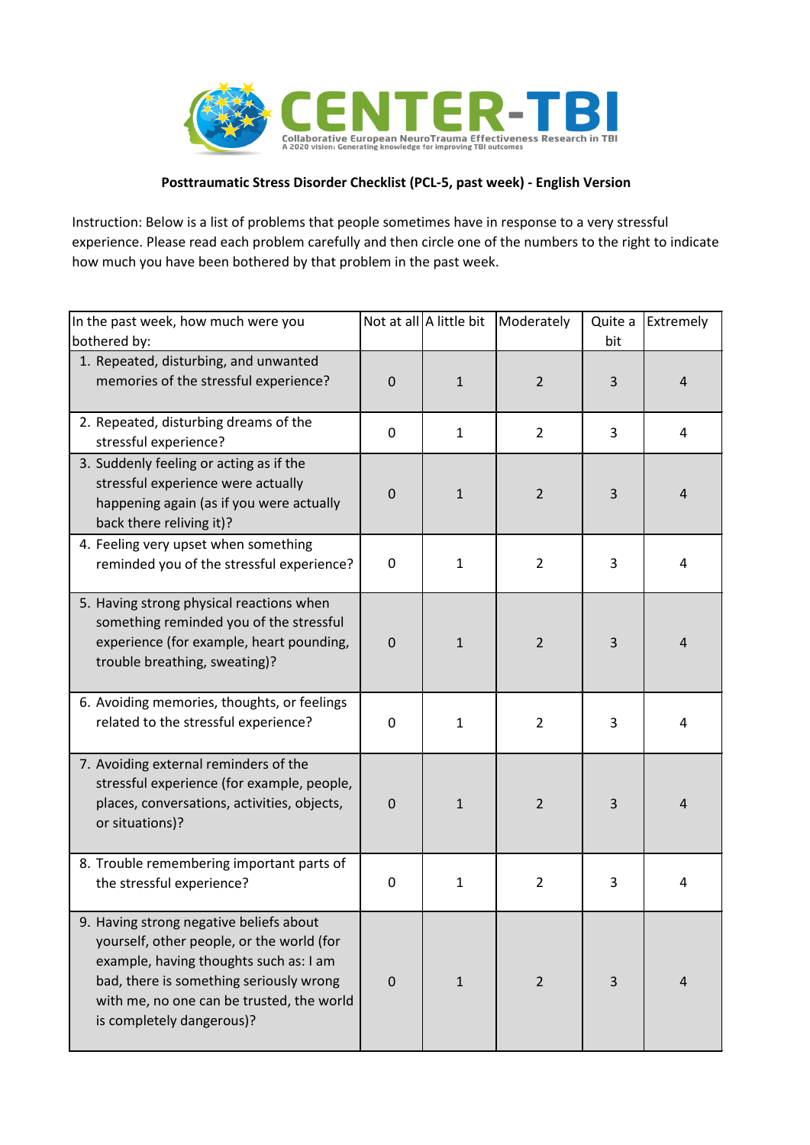

## **Posttraumatic Stress Disorder Checklist (PCL-5, past week) - English Version**

Instruction: Below is a list of problems that people sometimes have in response to a very stressful experience. Please read each problem carefully and then circle one of the numbers to the right to indicate how much you have been bothered by that problem in the past week.

| In the past week, how much were you<br>bothered by:                                                                                                                                                                                                 |             | Not at all A little bit | Moderately     | Quite a<br>bit | Extremely      |
|-----------------------------------------------------------------------------------------------------------------------------------------------------------------------------------------------------------------------------------------------------|-------------|-------------------------|----------------|----------------|----------------|
| 1. Repeated, disturbing, and unwanted<br>memories of the stressful experience?                                                                                                                                                                      | $\mathbf 0$ | $\mathbf{1}$            | $\overline{2}$ | 3              | $\overline{4}$ |
| 2. Repeated, disturbing dreams of the<br>stressful experience?                                                                                                                                                                                      | $\mathbf 0$ | $\mathbf{1}$            | $\overline{2}$ | 3              | 4              |
| 3. Suddenly feeling or acting as if the<br>stressful experience were actually<br>happening again (as if you were actually<br>back there reliving it)?                                                                                               | $\mathbf 0$ | $\mathbf{1}$            | $\overline{2}$ | 3              | $\overline{4}$ |
| 4. Feeling very upset when something<br>reminded you of the stressful experience?                                                                                                                                                                   | 0           | $\mathbf{1}$            | $\overline{2}$ | 3              | 4              |
| 5. Having strong physical reactions when<br>something reminded you of the stressful<br>experience (for example, heart pounding,<br>trouble breathing, sweating)?                                                                                    | $\mathbf 0$ | $\mathbf{1}$            | $\overline{2}$ | 3              | $\overline{4}$ |
| 6. Avoiding memories, thoughts, or feelings<br>related to the stressful experience?                                                                                                                                                                 | 0           | $\mathbf{1}$            | $\overline{2}$ | 3              | $\overline{4}$ |
| 7. Avoiding external reminders of the<br>stressful experience (for example, people,<br>places, conversations, activities, objects,<br>or situations)?                                                                                               | $\mathbf 0$ | $\mathbf{1}$            | 2              | 3              | $\overline{4}$ |
| 8. Trouble remembering important parts of<br>the stressful experience?                                                                                                                                                                              | $\pmb{0}$   | $\mathbf{1}$            | $\overline{2}$ | 3              | 4              |
| 9. Having strong negative beliefs about<br>yourself, other people, or the world (for<br>example, having thoughts such as: I am<br>bad, there is something seriously wrong<br>with me, no one can be trusted, the world<br>is completely dangerous)? | $\mathbf 0$ | $\mathbf{1}$            | $\overline{2}$ | 3              | $\overline{4}$ |